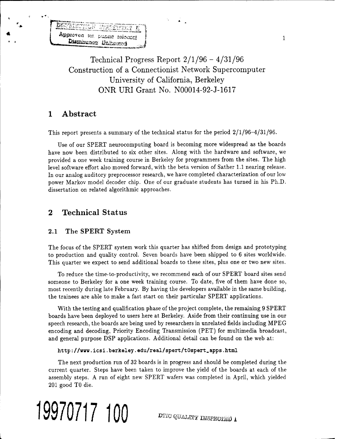Approved to public released Disminunce Uniterest

> Technical Progress Report 2/1/96 - 4/31/96 Construction of a Connectionist Network Supercomputer University of California, Berkeley ONR URI Grant No. N00014-92-J-1617

## **<sup>1</sup> Abstract**

This report presents a summary of the technical status for the period  $2/1/96-4/31/96$ .

Use of our SPERT neurocomputing board is becoming more widespread as the boards have now been distributed to six other sites. Along with the hardware and software, we provided a one week training course in Berkeley for programmers from the sites. The high level software effort also moved forward, with the beta version of Sather 1.1 nearing release. In our analog auditory preprocessor research, we have completed characterization of our low power Markov model decoder chip. One of our graduate students has turned in his Ph.D. dissertation on related algorithmic approaches.

# **2 Technical Status**

## 2.1 The SPERT System

The focus of the SPERT system work this quarter has shifted from design and prototyping to production and quality control. Seven boards have been shipped to 6 sites worldwide. This quarter we expect to send additional boards to these sites, plus one or two new sites.

To reduce the time-to-productivity, we recommend each of our SPERT board sites send someone to Berkeley for a one week training course. To date, five of them have done so, most recently during late February. By having the developers available in the same building, the trainees are able to make a fast start on their particular SPERT applications.

With the testing and qualification phase of the project complete, the remaining 9 SPERT boards have been deployed to users here at Berkeley. Aside from their continuing use in our speech research, the boards are being used by researchers in unrelated fields including MPEG encoding and decoding, Priority Encoding Transmission (PET) for multimedia broadcast, and general purpose DSP applications. Additional detail can be found on the web at:

### http://www.icsi.berkeley.edu/real/spert/tOspert.apps.html

The next production run of 32 boards is in progress and should be completed during the current quarter. Steps have been taken to improve the yield of the boards at each of the assembly steps. A run of eight new SPERT wafers was completed in April, which yielded 201 good TO die.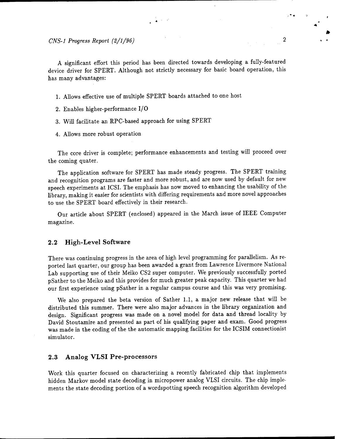*CNS-1 Progress Report (2/1/96)* 2

A significant effort this period has been directed towards developing a fully-featured device driver for SPERT. Although not strictly necessary for basic board operation, this has many advantages:

ුදි ගෙන

- 1. Allows effective use of multiple SPERT boards attached to one host
- 2. Enables higher-performance I/O
- 3. Will facilitate an RPC-based approach for using SPERT
- 4. Allows more robust operation

The core driver is complete; performance enhancements and testing will proceed over the coming quater.

The application software for SPERT has made steady progress. The SPERT training and recognition programs are faster and more robust, and are now used by default for new speech experiments at ICSI. The emphasis has now moved to enhancing the usability of the library, making it easier for scientists with differing requirements and more novel approaches to use the SPERT board effectively in their research.

Our article about SPERT (enclosed) appeared in the March issue of IEEE Computer magazine.

### **2.2 High-Level Software**

There was continuing progress in the area of high level programming for parallelism. As reported last quarter, our group has been awarded a grant from Lawrence Livermore National Lab supporting use of their Meiko CS2 super computer. We previously successfully ported pSather to the Meiko and this provides for much greater peak capacity. This quarter we had our first experience using pSather in a regular campus course and this was very promising.

We also prepared the beta version of Sather 1.1, a major new release that will be distributed this summer. There were also major advances in the library organization and design. Significant progress was made on a novel model for data and thread locality by David Stoutamire and presented as part of his qualifying paper and exam. Good progress was made in the coding of the the automatic mapping facilities for the ICSIM connectionist simulator.

#### **2.3 Analog VLSI Pre-processors**

Work this quarter focused on characterizing a recently fabricated chip that implements hidden Markov model state decoding in micropower analog VLSI circuits. The chip implements the state decoding portion of a wordspotting speech recognition algorithm developed

• » *0*

**4**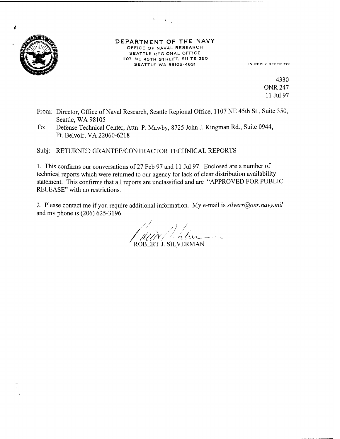

z

#### DEPARTMENT OF THE NAVY OFFICE OF NAVAL RESEARCH SEATTLE REGIONAL OFFICE 1107 NE 45TH STREET. SUITE 350 SEATTLE WA 98105-4631 IN REPLY REFER TO:

4330 ONR 247 11 Jul 97

- From: Director, Office of Naval Research, Seattle Regional Office, 1107 NE 45th St., Suite 350, Seattle, WA 98105
- To: Defense Technical Center, Atta: P. Mawby, 8725 John J. Kingman Rd., Suite 0944, Ft. Belvoir,VA 22060-6218

Subj: RETURNED GRANTEE/CONTRACTOR TECHNICAL REPORTS

1. This confirms our conversations of 27 Feb 97 and <sup>11</sup> Jul 97. Enclosed are a number of technical reports which were returned to our agency for lack of clear distribution availability statement. This confirms that all reports are unclassified and are "APPROVED FOR PUBLIC RELEASE" with no restrictions.

2. Please contact me if you require additional information. My e-mail is *silverr@onr.navy.mil* and my phone is (206) 625-3196.

/ ROBERT J. SILVERMAN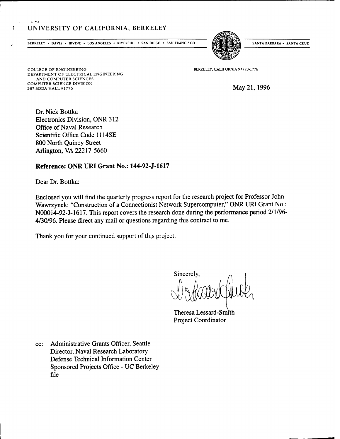## UNIVERSITY OF CALIFORNIA, BERKELEY

**BERKELEY** • DAVIS • IRVINE • LOS ANGELES • RIVERSIDE • SAN DIEGO • SAN FRANCISCO (EXTERNARISTAL) SANTA BARBARA • SANTA CRUZ



**COLLEGE OF ENGINEERING DEPARTMENT OF ELECTRICAL ENGINEERING AND COMPUTER SCIENCES COMPUTER SCIENCE DIVISION 387 SODA HALL #1776**

 $\mathbf{r}$  +  $\mathbf{r}$ 

**BERKELEY, CALIFORNIA 94720-1776**

May 21,1996

Dr. Nick Bottka Electronics Division, ONR 312 Office of Naval Research Scientific Office Code 1114SE 800 North Quincy Street Arlington, VA 22217-5660

## **Reference: ONR URI Grant No.: 144-92-J-1617**

Dear Dr. Bottka:

Enclosed you will find the quarterly progress report for the research project for Professor John Wawrzynek: "Construction of a Connectionist Network Supercomputer," ONR URI Grant No.: N00014-92-J-1617. This report covers the research done during the performance period 2/1/96- 4/30/96. Please direct any mail or questions regarding this contract to me.

Thank you for your continued support of this project.

Sincerely,

Theresa Lessard-Smith Project Coordinator

cc: Administrative Grants Officer, Seattle Director, Naval Research Laboratory Defense Technical Information Center Sponsored Projects Office - UC Berkeley file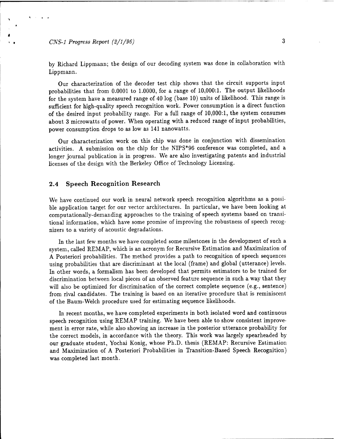*CNS-1 Progress Report (2/1/96)* 3

*t*

by Richard Lippmann; the design of our decoding system was done in collaboration with Lippmann.

Our characterization of the decoder test chip shows that the circuit supports input probabilities that from 0.0001 to 1.0000, for a range of 10,000:1. The output likelihoods for the system have a measured range of 40 log (base 10) units of likelihood. This range is sufficient for high-quality speech recognition work. Power consumption is a direct function of the desired input probability range. For a full range of 10,000:1, the system consumes about 3 microwatts of power. When operating with a reduced range of input probabilities, power consumption drops to as low as 141 nanowatts.

Our characterization work on this chip was done in conjunction with dissemination activities. A submission on the chip for the NIPS\*96 conference was completed, and a longer journal publication is in progress. We are also investigating patents and industrial licenses of the design with the Berkeley Office of Technology Licensing.

### **2.4 Speech Recognition Research**

We have continued our work in neural network speech recognition algorithms as a possible application target for our vector architectures. In particular, we have been looking at computationally-demanding approaches to the training of speech systems based on transitional information, which have some promise of improving the robustness of speech recognizers to a variety of acoustic degradations.

In the last few months we have completed some milestones in the development of such a system, caUed REMAP, which is an acronym for Recursive Estimation and Maximization of A Posteriori probabilities. The method provides a path to recognition of speech sequences using probabilities that are discriminant at the local (frame) and global (utterance) levels. In other words, a formalism has been developed that permits estimators to be trained for discrimination between local pieces of an observed feature sequence in such a way that they will also be optimized for discrimination of the correct complete sequence (e.g., sentence) from rival candidates. The training is based on an iterative procedure that is reminiscent of the Baum-Welch procedure used for estimating sequence likelihoods.

In recent months, we have completed experiments in both isolated word and continuous speech recognition using REMAP training. We have been able to show consistent improvement in error rate, while also showing an increase in the posterior utterance probability for the correct models, in accordance with the theory. This work was largely spearheaded by our graduate student, Yochai König, whose Ph.D. thesis (REMAP: Recursive Estimation and Maximization of A Posteriori Probabilities in Transition-Based Speech Recognition) was completed last month.